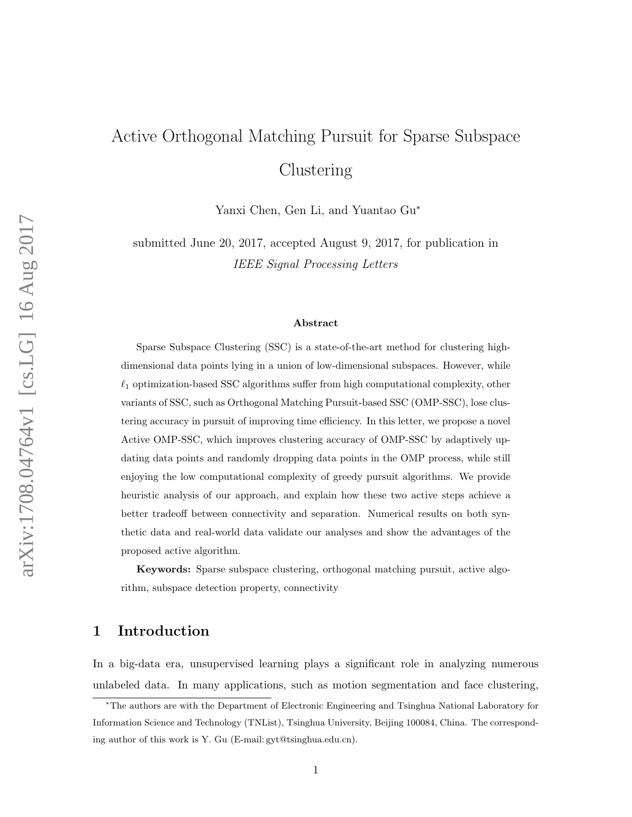# Active Orthogonal Matching Pursuit for Sparse Subspace Clustering

Yanxi Chen, Gen Li, and Yuantao Gu<sup>∗</sup>

submitted June 20, 2017, accepted August 9, 2017, for publication in IEEE Signal Processing Letters

#### Abstract

Sparse Subspace Clustering (SSC) is a state-of-the-art method for clustering highdimensional data points lying in a union of low-dimensional subspaces. However, while  $\ell_1$  optimization-based SSC algorithms suffer from high computational complexity, other variants of SSC, such as Orthogonal Matching Pursuit-based SSC (OMP-SSC), lose clustering accuracy in pursuit of improving time efficiency. In this letter, we propose a novel Active OMP-SSC, which improves clustering accuracy of OMP-SSC by adaptively updating data points and randomly dropping data points in the OMP process, while still enjoying the low computational complexity of greedy pursuit algorithms. We provide heuristic analysis of our approach, and explain how these two active steps achieve a better tradeoff between connectivity and separation. Numerical results on both synthetic data and real-world data validate our analyses and show the advantages of the proposed active algorithm.

Keywords: Sparse subspace clustering, orthogonal matching pursuit, active algorithm, subspace detection property, connectivity

## 1 Introduction

In a big-data era, unsupervised learning plays a significant role in analyzing numerous unlabeled data. In many applications, such as motion segmentation and face clustering,

<sup>∗</sup>The authors are with the Department of Electronic Engineering and Tsinghua National Laboratory for Information Science and Technology (TNList), Tsinghua University, Beijing 100084, China. The corresponding author of this work is Y. Gu (E-mail: gyt@tsinghua.edu.cn).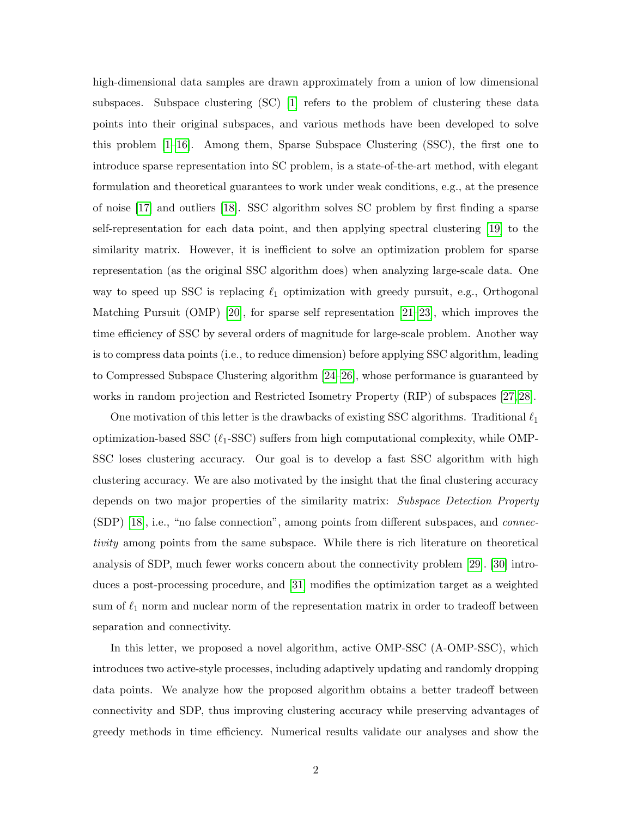high-dimensional data samples are drawn approximately from a union of low dimensional subspaces. Subspace clustering (SC) [\[1\]](#page-11-0) refers to the problem of clustering these data points into their original subspaces, and various methods have been developed to solve this problem  $[1-16]$  $[1-16]$ . Among them, Sparse Subspace Clustering (SSC), the first one to introduce sparse representation into SC problem, is a state-of-the-art method, with elegant formulation and theoretical guarantees to work under weak conditions, e.g., at the presence of noise [\[17\]](#page-12-1) and outliers [\[18\]](#page-12-2). SSC algorithm solves SC problem by first finding a sparse self-representation for each data point, and then applying spectral clustering [\[19\]](#page-12-3) to the similarity matrix. However, it is inefficient to solve an optimization problem for sparse representation (as the original SSC algorithm does) when analyzing large-scale data. One way to speed up SSC is replacing  $\ell_1$  optimization with greedy pursuit, e.g., Orthogonal Matching Pursuit (OMP) [\[20\]](#page-12-4), for sparse self representation [\[21–](#page-13-0)[23\]](#page-13-1), which improves the time efficiency of SSC by several orders of magnitude for large-scale problem. Another way is to compress data points (i.e., to reduce dimension) before applying SSC algorithm, leading to Compressed Subspace Clustering algorithm [\[24–](#page-13-2)[26\]](#page-13-3), whose performance is guaranteed by works in random projection and Restricted Isometry Property (RIP) of subspaces [\[27,](#page-13-4) [28\]](#page-13-5).

One motivation of this letter is the drawbacks of existing SSC algorithms. Traditional  $\ell_1$ optimization-based SSC  $(\ell_1$ -SSC) suffers from high computational complexity, while OMP-SSC loses clustering accuracy. Our goal is to develop a fast SSC algorithm with high clustering accuracy. We are also motivated by the insight that the final clustering accuracy depends on two major properties of the similarity matrix: Subspace Detection Property (SDP) [\[18\]](#page-12-2), i.e., "no false connection", among points from different subspaces, and connectivity among points from the same subspace. While there is rich literature on theoretical analysis of SDP, much fewer works concern about the connectivity problem [\[29\]](#page-13-6). [\[30\]](#page-13-7) introduces a post-processing procedure, and [\[31\]](#page-13-8) modifies the optimization target as a weighted sum of  $\ell_1$  norm and nuclear norm of the representation matrix in order to tradeoff between separation and connectivity.

In this letter, we proposed a novel algorithm, active OMP-SSC (A-OMP-SSC), which introduces two active-style processes, including adaptively updating and randomly dropping data points. We analyze how the proposed algorithm obtains a better tradeoff between connectivity and SDP, thus improving clustering accuracy while preserving advantages of greedy methods in time efficiency. Numerical results validate our analyses and show the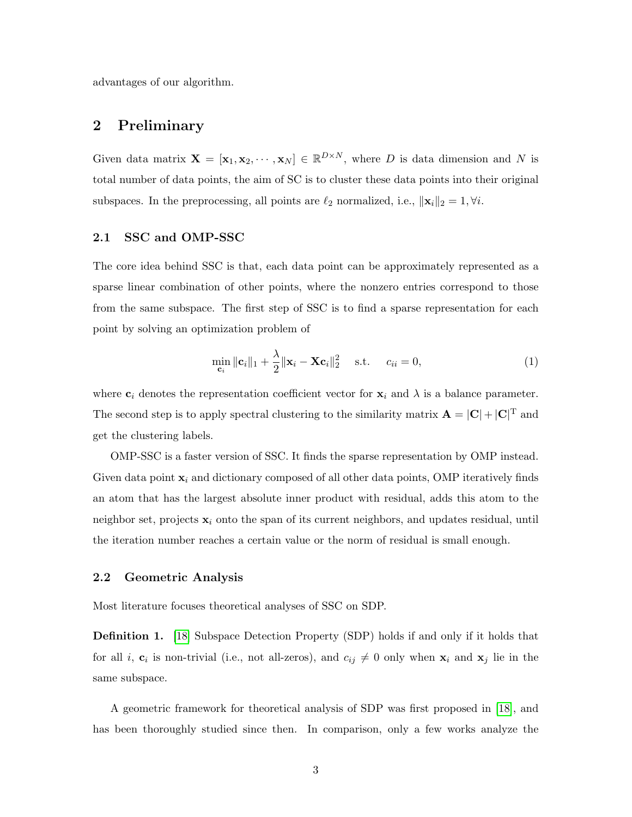advantages of our algorithm.

## 2 Preliminary

Given data matrix  $\mathbf{X} = [\mathbf{x}_1, \mathbf{x}_2, \cdots, \mathbf{x}_N] \in \mathbb{R}^{D \times N}$ , where D is data dimension and N is total number of data points, the aim of SC is to cluster these data points into their original subspaces. In the preprocessing, all points are  $\ell_2$  normalized, i.e.,  $\|\mathbf{x}_i\|_2 = 1, \forall i$ .

#### 2.1 SSC and OMP-SSC

The core idea behind SSC is that, each data point can be approximately represented as a sparse linear combination of other points, where the nonzero entries correspond to those from the same subspace. The first step of SSC is to find a sparse representation for each point by solving an optimization problem of

$$
\min_{\mathbf{c}_i} \|\mathbf{c}_i\|_1 + \frac{\lambda}{2} \|\mathbf{x}_i - \mathbf{X}\mathbf{c}_i\|_2^2 \quad \text{s.t.} \quad c_{ii} = 0,
$$
\n(1)

where  $c_i$  denotes the representation coefficient vector for  $x_i$  and  $\lambda$  is a balance parameter. The second step is to apply spectral clustering to the similarity matrix  $\mathbf{A} = |\mathbf{C}| + |\mathbf{C}|^{\mathrm{T}}$  and get the clustering labels.

OMP-SSC is a faster version of SSC. It finds the sparse representation by OMP instead. Given data point  $\mathbf{x}_i$  and dictionary composed of all other data points, OMP iteratively finds an atom that has the largest absolute inner product with residual, adds this atom to the neighbor set, projects  $\mathbf{x}_i$  onto the span of its current neighbors, and updates residual, until the iteration number reaches a certain value or the norm of residual is small enough.

#### 2.2 Geometric Analysis

Most literature focuses theoretical analyses of SSC on SDP.

**Definition 1.** [\[18\]](#page-12-2) Subspace Detection Property (SDP) holds if and only if it holds that for all *i*,  $\mathbf{c}_i$  is non-trivial (i.e., not all-zeros), and  $c_{ij} \neq 0$  only when  $\mathbf{x}_i$  and  $\mathbf{x}_j$  lie in the same subspace.

A geometric framework for theoretical analysis of SDP was first proposed in [\[18\]](#page-12-2), and has been thoroughly studied since then. In comparison, only a few works analyze the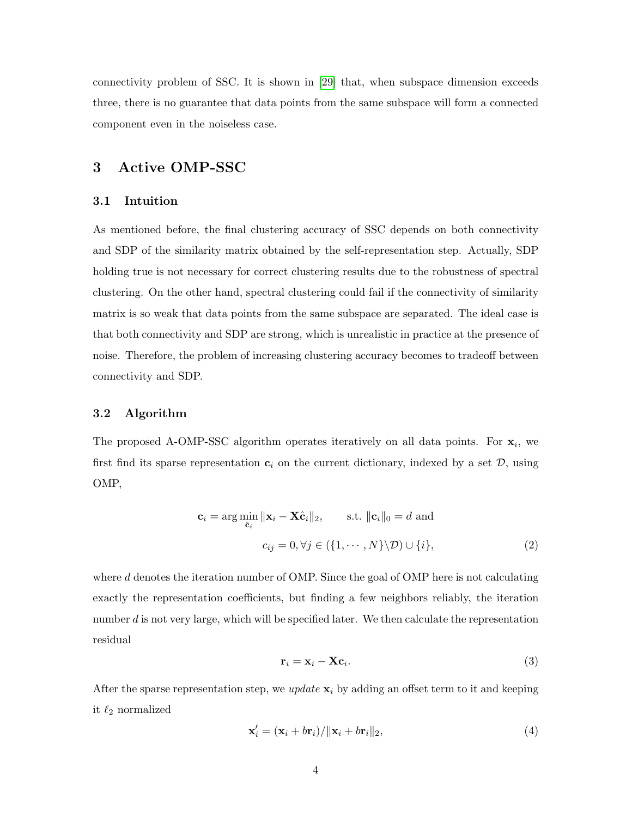connectivity problem of SSC. It is shown in [\[29\]](#page-13-6) that, when subspace dimension exceeds three, there is no guarantee that data points from the same subspace will form a connected component even in the noiseless case.

## 3 Active OMP-SSC

#### 3.1 Intuition

As mentioned before, the final clustering accuracy of SSC depends on both connectivity and SDP of the similarity matrix obtained by the self-representation step. Actually, SDP holding true is not necessary for correct clustering results due to the robustness of spectral clustering. On the other hand, spectral clustering could fail if the connectivity of similarity matrix is so weak that data points from the same subspace are separated. The ideal case is that both connectivity and SDP are strong, which is unrealistic in practice at the presence of noise. Therefore, the problem of increasing clustering accuracy becomes to tradeoff between connectivity and SDP.

#### 3.2 Algorithm

The proposed A-OMP-SSC algorithm operates iteratively on all data points. For  $x_i$ , we first find its sparse representation  $c_i$  on the current dictionary, indexed by a set  $D$ , using OMP,

$$
\mathbf{c}_{i} = \arg \min_{\hat{\mathbf{c}}_{i}} ||\mathbf{x}_{i} - \mathbf{X}\hat{\mathbf{c}}_{i}||_{2}, \qquad \text{s.t. } ||\mathbf{c}_{i}||_{0} = d \text{ and}
$$

$$
c_{ij} = 0, \forall j \in (\{1, \cdots, N\} \backslash \mathcal{D}) \cup \{i\}, \tag{2}
$$

where  $d$  denotes the iteration number of OMP. Since the goal of OMP here is not calculating exactly the representation coefficients, but finding a few neighbors reliably, the iteration number  $d$  is not very large, which will be specified later. We then calculate the representation residual

<span id="page-3-1"></span><span id="page-3-0"></span>
$$
\mathbf{r}_i = \mathbf{x}_i - \mathbf{X}\mathbf{c}_i. \tag{3}
$$

After the sparse representation step, we *update*  $\mathbf{x}_i$  by adding an offset term to it and keeping it  $\ell_2$  normalized

<span id="page-3-2"></span>
$$
\mathbf{x}'_i = (\mathbf{x}_i + b\mathbf{r}_i) / ||\mathbf{x}_i + b\mathbf{r}_i||_2, \tag{4}
$$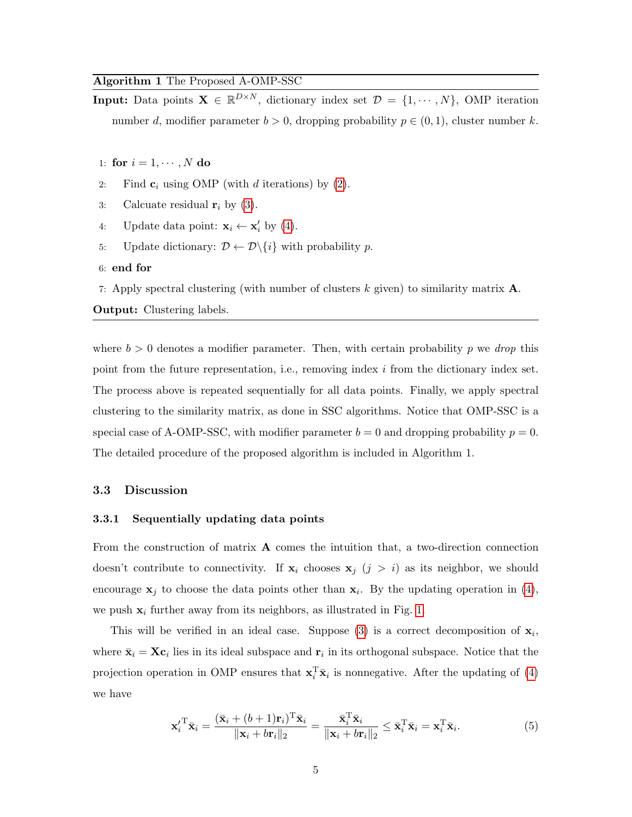#### Algorithm 1 The Proposed A-OMP-SSC

**Input:** Data points  $\mathbf{X} \in \mathbb{R}^{D \times N}$ , dictionary index set  $\mathcal{D} = \{1, \dots, N\}$ , OMP iteration number d, modifier parameter  $b > 0$ , dropping probability  $p \in (0, 1)$ , cluster number k.

- 1: for  $i = 1, \dots, N$  do
- 2: Find  $c_i$  using OMP (with d iterations) by [\(2\)](#page-3-0).
- 3: Calcuate residual  $r_i$  by [\(3\)](#page-3-1).
- 4: Update data point:  $\mathbf{x}_i \leftarrow \mathbf{x}'_i$  by [\(4\)](#page-3-2).
- 5: Update dictionary:  $\mathcal{D} \leftarrow \mathcal{D} \setminus \{i\}$  with probability p.
- 6: end for

7: Apply spectral clustering (with number of clusters k given) to similarity matrix  $\mathbf{A}$ . Output: Clustering labels.

where  $b > 0$  denotes a modifier parameter. Then, with certain probability p we drop this point from the future representation, i.e., removing index  $i$  from the dictionary index set. The process above is repeated sequentially for all data points. Finally, we apply spectral clustering to the similarity matrix, as done in SSC algorithms. Notice that OMP-SSC is a special case of A-OMP-SSC, with modifier parameter  $b = 0$  and dropping probability  $p = 0$ . The detailed procedure of the proposed algorithm is included in Algorithm 1.

#### 3.3 Discussion

#### 3.3.1 Sequentially updating data points

From the construction of matrix  $\bf{A}$  comes the intuition that, a two-direction connection doesn't contribute to connectivity. If  $x_i$  chooses  $x_j$   $(j > i)$  as its neighbor, we should encourage  $x_j$  to choose the data points other than  $x_i$ . By the updating operation in [\(4\)](#page-3-2), we push  $x_i$  further away from its neighbors, as illustrated in Fig. [1.](#page-5-0)

This will be verified in an ideal case. Suppose [\(3\)](#page-3-1) is a correct decomposition of  $x_i$ , where  $\bar{\mathbf{x}}_i = \mathbf{X} \mathbf{c}_i$  lies in its ideal subspace and  $\mathbf{r}_i$  in its orthogonal subspace. Notice that the projection operation in OMP ensures that  $\mathbf{x}_i^T \bar{\mathbf{x}}_i$  is nonnegative. After the updating of [\(4\)](#page-3-2) we have

<span id="page-4-0"></span>
$$
\mathbf{x}'_i^{\mathrm{T}} \bar{\mathbf{x}}_i = \frac{(\bar{\mathbf{x}}_i + (b+1)\mathbf{r}_i)^{\mathrm{T}} \bar{\mathbf{x}}_i}{\|\mathbf{x}_i + b\mathbf{r}_i\|_2} = \frac{\bar{\mathbf{x}}_i^{\mathrm{T}} \bar{\mathbf{x}}_i}{\|\mathbf{x}_i + b\mathbf{r}_i\|_2} \le \bar{\mathbf{x}}_i^{\mathrm{T}} \bar{\mathbf{x}}_i = \mathbf{x}_i^{\mathrm{T}} \bar{\mathbf{x}}_i.
$$
 (5)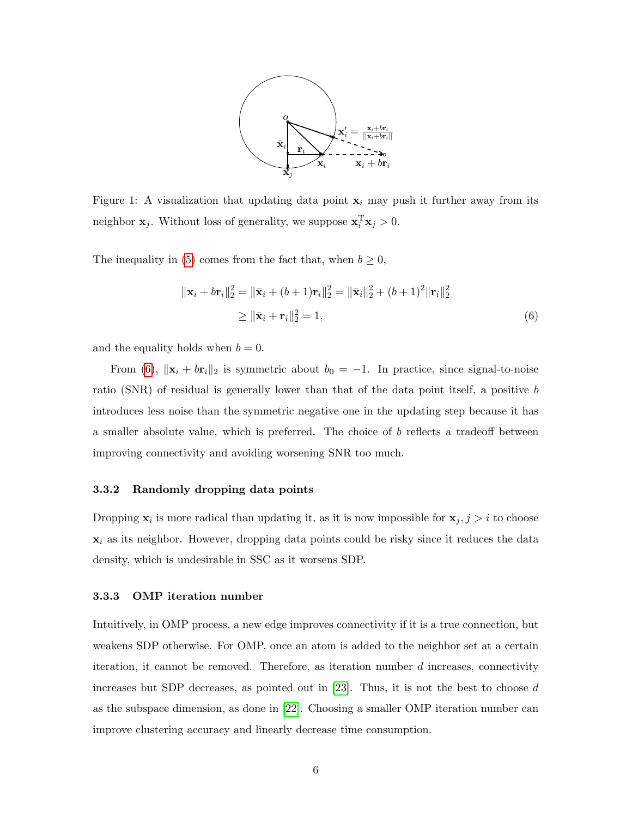

<span id="page-5-0"></span>Figure 1: A visualization that updating data point  $x_i$  may push it further away from its neighbor  $\mathbf{x}_j$ . Without loss of generality, we suppose  $\mathbf{x}_i^T \mathbf{x}_j > 0$ .

The inequality in [\(5\)](#page-4-0) comes from the fact that, when  $b \geq 0$ ,

<span id="page-5-1"></span>
$$
\|\mathbf{x}_{i} + b\mathbf{r}_{i}\|_{2}^{2} = \|\bar{\mathbf{x}}_{i} + (b+1)\mathbf{r}_{i}\|_{2}^{2} = \|\bar{\mathbf{x}}_{i}\|_{2}^{2} + (b+1)^{2}\|\mathbf{r}_{i}\|_{2}^{2}
$$
  
\n
$$
\geq \|\bar{\mathbf{x}}_{i} + \mathbf{r}_{i}\|_{2}^{2} = 1,
$$
\n(6)

and the equality holds when  $b = 0$ .

From [\(6\)](#page-5-1),  $\|\mathbf{x}_i + b\mathbf{r}_i\|_2$  is symmetric about  $b_0 = -1$ . In practice, since signal-to-noise ratio (SNR) of residual is generally lower than that of the data point itself, a positive b introduces less noise than the symmetric negative one in the updating step because it has a smaller absolute value, which is preferred. The choice of b reflects a tradeoff between improving connectivity and avoiding worsening SNR too much.

#### 3.3.2 Randomly dropping data points

Dropping  $\mathbf{x}_i$  is more radical than updating it, as it is now impossible for  $\mathbf{x}_j$ ,  $j > i$  to choose  $x_i$  as its neighbor. However, dropping data points could be risky since it reduces the data density, which is undesirable in SSC as it worsens SDP.

#### 3.3.3 OMP iteration number

Intuitively, in OMP process, a new edge improves connectivity if it is a true connection, but weakens SDP otherwise. For OMP, once an atom is added to the neighbor set at a certain iteration, it cannot be removed. Therefore, as iteration number  $d$  increases, connectivity increases but SDP decreases, as pointed out in [\[23\]](#page-13-1). Thus, it is not the best to choose d as the subspace dimension, as done in [\[22\]](#page-13-9). Choosing a smaller OMP iteration number can improve clustering accuracy and linearly decrease time consumption.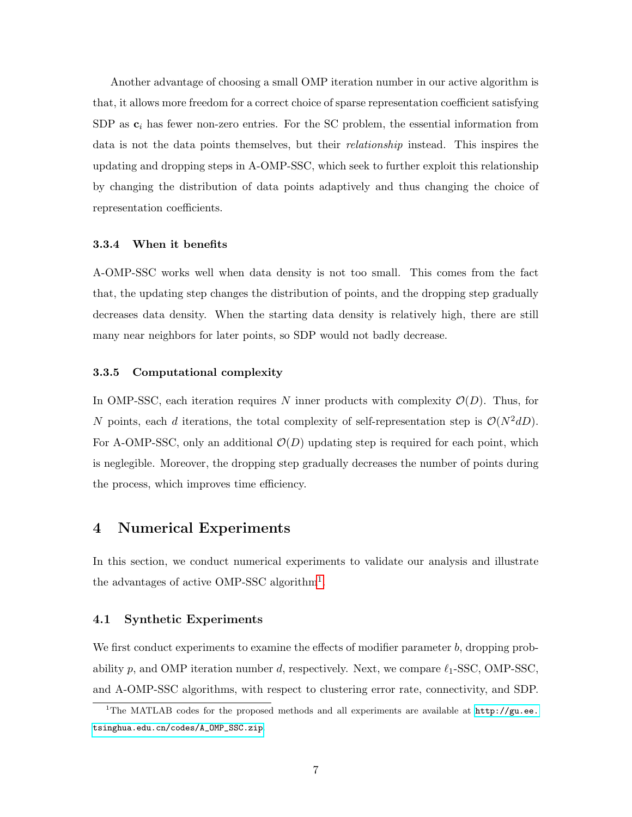Another advantage of choosing a small OMP iteration number in our active algorithm is that, it allows more freedom for a correct choice of sparse representation coefficient satisfying SDP as  $c_i$  has fewer non-zero entries. For the SC problem, the essential information from data is not the data points themselves, but their relationship instead. This inspires the updating and dropping steps in A-OMP-SSC, which seek to further exploit this relationship by changing the distribution of data points adaptively and thus changing the choice of representation coefficients.

#### 3.3.4 When it benefits

A-OMP-SSC works well when data density is not too small. This comes from the fact that, the updating step changes the distribution of points, and the dropping step gradually decreases data density. When the starting data density is relatively high, there are still many near neighbors for later points, so SDP would not badly decrease.

#### 3.3.5 Computational complexity

In OMP-SSC, each iteration requires N inner products with complexity  $\mathcal{O}(D)$ . Thus, for N points, each d iterations, the total complexity of self-representation step is  $\mathcal{O}(N^2dD)$ . For A-OMP-SSC, only an additional  $\mathcal{O}(D)$  updating step is required for each point, which is neglegible. Moreover, the dropping step gradually decreases the number of points during the process, which improves time efficiency.

### 4 Numerical Experiments

In this section, we conduct numerical experiments to validate our analysis and illustrate the advantages of active OMP-SSC algorithm<sup>[1](#page-6-0)</sup>.

#### 4.1 Synthetic Experiments

We first conduct experiments to examine the effects of modifier parameter  $b$ , dropping probability p, and OMP iteration number d, respectively. Next, we compare  $\ell_1$ -SSC, OMP-SSC, and A-OMP-SSC algorithms, with respect to clustering error rate, connectivity, and SDP.

<span id="page-6-0"></span><sup>&</sup>lt;sup>1</sup>The MATLAB codes for the proposed methods and all experiments are available at  $http://gu.ee.$ [tsinghua.edu.cn/codes/A\\_OMP\\_SSC.zip](http://gu.ee.tsinghua.edu.cn/codes/A_OMP_SSC.zip).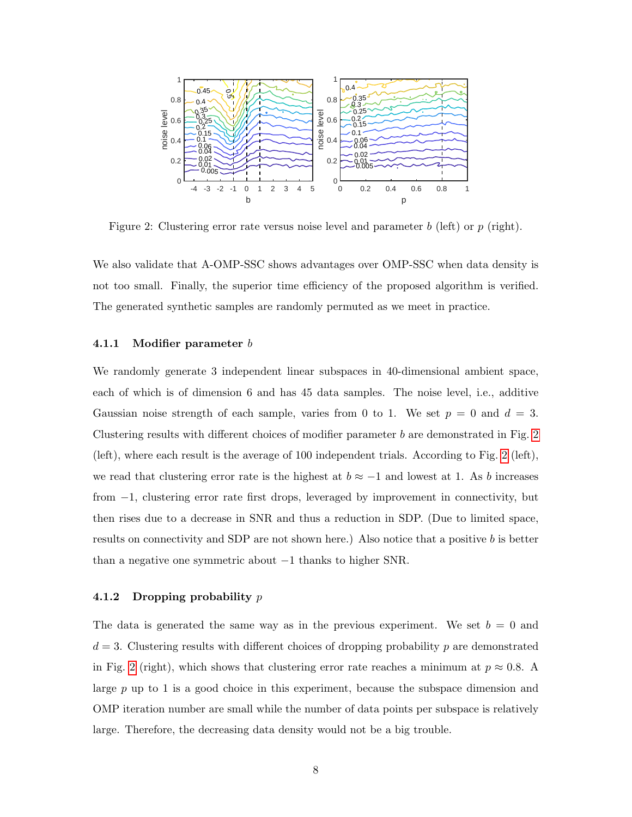<span id="page-7-0"></span>

Figure 2: Clustering error rate versus noise level and parameter  $b$  (left) or  $p$  (right).

We also validate that A-OMP-SSC shows advantages over OMP-SSC when data density is not too small. Finally, the superior time efficiency of the proposed algorithm is verified. The generated synthetic samples are randomly permuted as we meet in practice.

#### 4.1.1 Modifier parameter  $b$

We randomly generate 3 independent linear subspaces in 40-dimensional ambient space, each of which is of dimension 6 and has 45 data samples. The noise level, i.e., additive Gaussian noise strength of each sample, varies from 0 to 1. We set  $p = 0$  and  $d = 3$ . Clustering results with different choices of modifier parameter  $b$  are demonstrated in Fig. [2](#page-7-0) (left), where each result is the average of 100 independent trials. According to Fig. [2](#page-7-0) (left), we read that clustering error rate is the highest at  $b \approx -1$  and lowest at 1. As b increases from −1, clustering error rate first drops, leveraged by improvement in connectivity, but then rises due to a decrease in SNR and thus a reduction in SDP. (Due to limited space, results on connectivity and SDP are not shown here.) Also notice that a positive b is better than a negative one symmetric about −1 thanks to higher SNR.

#### 4.1.2 Dropping probability  $p$

The data is generated the same way as in the previous experiment. We set  $b = 0$  and  $d = 3$ . Clustering results with different choices of dropping probability p are demonstrated in Fig. [2](#page-7-0) (right), which shows that clustering error rate reaches a minimum at  $p \approx 0.8$ . A large  $p$  up to 1 is a good choice in this experiment, because the subspace dimension and OMP iteration number are small while the number of data points per subspace is relatively large. Therefore, the decreasing data density would not be a big trouble.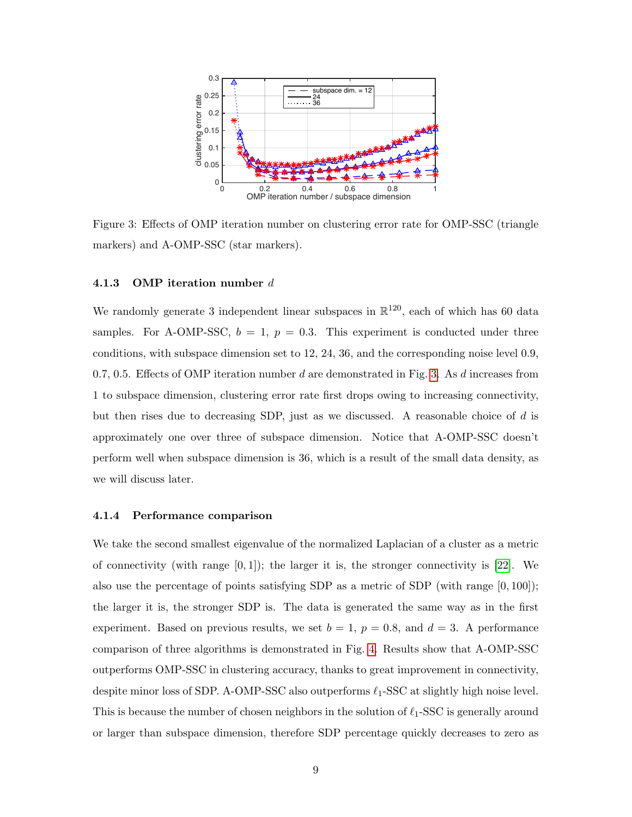<span id="page-8-0"></span>

Figure 3: Effects of OMP iteration number on clustering error rate for OMP-SSC (triangle markers) and A-OMP-SSC (star markers).

#### 4.1.3 OMP iteration number d

We randomly generate 3 independent linear subspaces in  $\mathbb{R}^{120}$ , each of which has 60 data samples. For A-OMP-SSC,  $b = 1$ ,  $p = 0.3$ . This experiment is conducted under three conditions, with subspace dimension set to 12, 24, 36, and the corresponding noise level 0.9, 0.7, 0.5. Effects of OMP iteration number  $d$  are demonstrated in Fig. [3.](#page-8-0) As  $d$  increases from 1 to subspace dimension, clustering error rate first drops owing to increasing connectivity, but then rises due to decreasing SDP, just as we discussed. A reasonable choice of d is approximately one over three of subspace dimension. Notice that A-OMP-SSC doesn't perform well when subspace dimension is 36, which is a result of the small data density, as we will discuss later.

#### 4.1.4 Performance comparison

We take the second smallest eigenvalue of the normalized Laplacian of a cluster as a metric of connectivity (with range  $[0, 1]$ ); the larger it is, the stronger connectivity is [\[22\]](#page-13-9). We also use the percentage of points satisfying SDP as a metric of SDP (with range [0, 100]); the larger it is, the stronger SDP is. The data is generated the same way as in the first experiment. Based on previous results, we set  $b = 1$ ,  $p = 0.8$ , and  $d = 3$ . A performance comparison of three algorithms is demonstrated in Fig. [4.](#page-9-0) Results show that A-OMP-SSC outperforms OMP-SSC in clustering accuracy, thanks to great improvement in connectivity, despite minor loss of SDP. A-OMP-SSC also outperforms  $\ell_1$ -SSC at slightly high noise level. This is because the number of chosen neighbors in the solution of  $\ell_1$ -SSC is generally around or larger than subspace dimension, therefore SDP percentage quickly decreases to zero as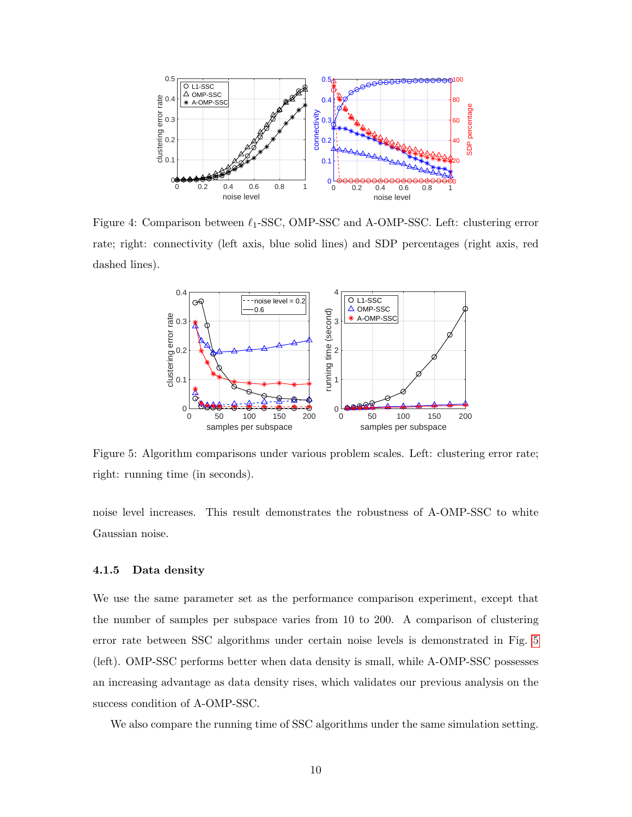<span id="page-9-0"></span>

<span id="page-9-1"></span>Figure 4: Comparison between  $\ell_1$ -SSC, OMP-SSC and A-OMP-SSC. Left: clustering error rate; right: connectivity (left axis, blue solid lines) and SDP percentages (right axis, red dashed lines).



Figure 5: Algorithm comparisons under various problem scales. Left: clustering error rate; right: running time (in seconds).

noise level increases. This result demonstrates the robustness of A-OMP-SSC to white Gaussian noise.

#### 4.1.5 Data density

We use the same parameter set as the performance comparison experiment, except that the number of samples per subspace varies from 10 to 200. A comparison of clustering error rate between SSC algorithms under certain noise levels is demonstrated in Fig. [5](#page-9-1) (left). OMP-SSC performs better when data density is small, while A-OMP-SSC possesses an increasing advantage as data density rises, which validates our previous analysis on the success condition of A-OMP-SSC.

We also compare the running time of SSC algorithms under the same simulation setting.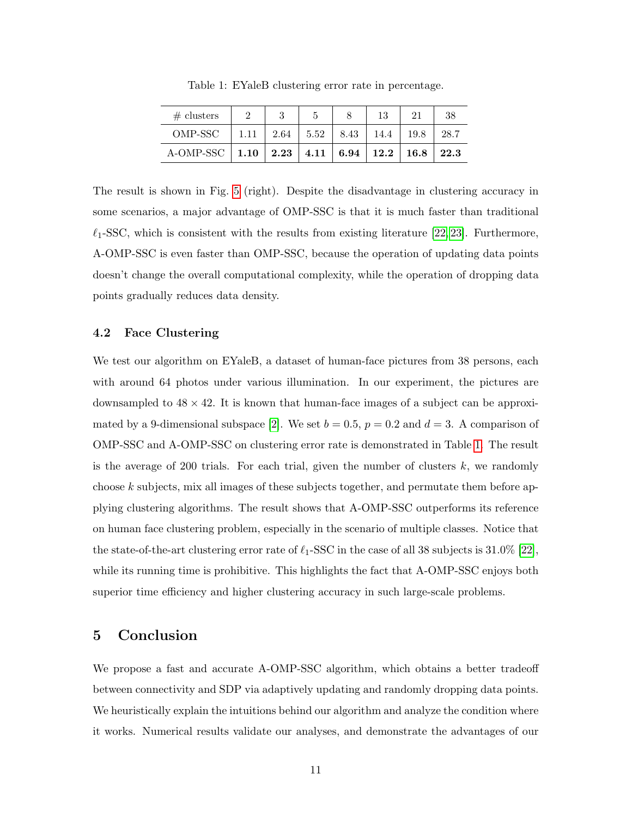<span id="page-10-0"></span>

| # clusters          |      |                 |      | 13                                         | 21   | 38   |
|---------------------|------|-----------------|------|--------------------------------------------|------|------|
| OMP-SSC             | 1.11 | $2.64$   $5.52$ | 8.43 | 14.4                                       | 19.8 | 28.7 |
| $A$ -OMP-SSC   1.10 |      |                 |      | $2.23$   $4.11$   $6.94$   $12.2$   $16.8$ |      | 22.3 |

Table 1: EYaleB clustering error rate in percentage.

The result is shown in Fig. [5](#page-9-1) (right). Despite the disadvantage in clustering accuracy in some scenarios, a major advantage of OMP-SSC is that it is much faster than traditional  $\ell_1$ -SSC, which is consistent with the results from existing literature [\[22,](#page-13-9) [23\]](#page-13-1). Furthermore, A-OMP-SSC is even faster than OMP-SSC, because the operation of updating data points doesn't change the overall computational complexity, while the operation of dropping data points gradually reduces data density.

#### 4.2 Face Clustering

We test our algorithm on EYaleB, a dataset of human-face pictures from 38 persons, each with around 64 photos under various illumination. In our experiment, the pictures are downsampled to  $48 \times 42$ . It is known that human-face images of a subject can be approxi-mated by a 9-dimensional subspace [\[2\]](#page-11-1). We set  $b = 0.5$ ,  $p = 0.2$  and  $d = 3$ . A comparison of OMP-SSC and A-OMP-SSC on clustering error rate is demonstrated in Table [1.](#page-10-0) The result is the average of 200 trials. For each trial, given the number of clusters  $k$ , we randomly choose k subjects, mix all images of these subjects together, and permutate them before applying clustering algorithms. The result shows that A-OMP-SSC outperforms its reference on human face clustering problem, especially in the scenario of multiple classes. Notice that the state-of-the-art clustering error rate of  $\ell_1$ -SSC in the case of all 38 subjects is 31.0% [\[22\]](#page-13-9), while its running time is prohibitive. This highlights the fact that A-OMP-SSC enjoys both superior time efficiency and higher clustering accuracy in such large-scale problems.

## 5 Conclusion

We propose a fast and accurate A-OMP-SSC algorithm, which obtains a better tradeoff between connectivity and SDP via adaptively updating and randomly dropping data points. We heuristically explain the intuitions behind our algorithm and analyze the condition where it works. Numerical results validate our analyses, and demonstrate the advantages of our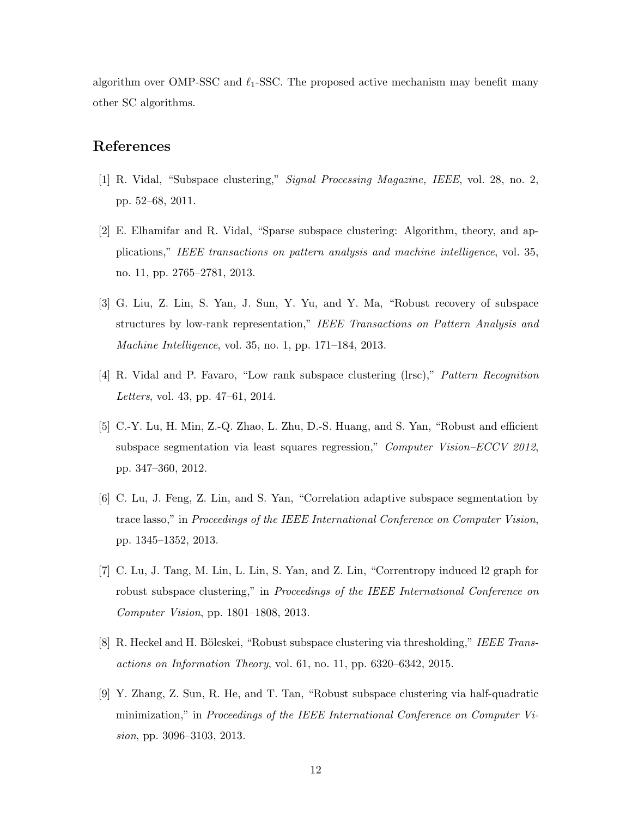algorithm over OMP-SSC and  $\ell_1$ -SSC. The proposed active mechanism may benefit many other SC algorithms.

## References

- <span id="page-11-0"></span>[1] R. Vidal, "Subspace clustering," Signal Processing Magazine, IEEE, vol. 28, no. 2, pp. 52–68, 2011.
- <span id="page-11-1"></span>[2] E. Elhamifar and R. Vidal, "Sparse subspace clustering: Algorithm, theory, and applications," IEEE transactions on pattern analysis and machine intelligence, vol. 35, no. 11, pp. 2765–2781, 2013.
- [3] G. Liu, Z. Lin, S. Yan, J. Sun, Y. Yu, and Y. Ma, "Robust recovery of subspace structures by low-rank representation," IEEE Transactions on Pattern Analysis and Machine Intelligence, vol. 35, no. 1, pp. 171–184, 2013.
- [4] R. Vidal and P. Favaro, "Low rank subspace clustering (lrsc)," Pattern Recognition Letters, vol. 43, pp. 47–61, 2014.
- [5] C.-Y. Lu, H. Min, Z.-Q. Zhao, L. Zhu, D.-S. Huang, and S. Yan, "Robust and efficient subspace segmentation via least squares regression," Computer Vision–ECCV 2012, pp. 347–360, 2012.
- [6] C. Lu, J. Feng, Z. Lin, and S. Yan, "Correlation adaptive subspace segmentation by trace lasso," in Proceedings of the IEEE International Conference on Computer Vision, pp. 1345–1352, 2013.
- [7] C. Lu, J. Tang, M. Lin, L. Lin, S. Yan, and Z. Lin, "Correntropy induced l2 graph for robust subspace clustering," in Proceedings of the IEEE International Conference on Computer Vision, pp. 1801–1808, 2013.
- [8] R. Heckel and H. Bölcskei, "Robust subspace clustering via thresholding," IEEE Transactions on Information Theory, vol. 61, no. 11, pp. 6320–6342, 2015.
- [9] Y. Zhang, Z. Sun, R. He, and T. Tan, "Robust subspace clustering via half-quadratic minimization," in Proceedings of the IEEE International Conference on Computer Vision, pp. 3096–3103, 2013.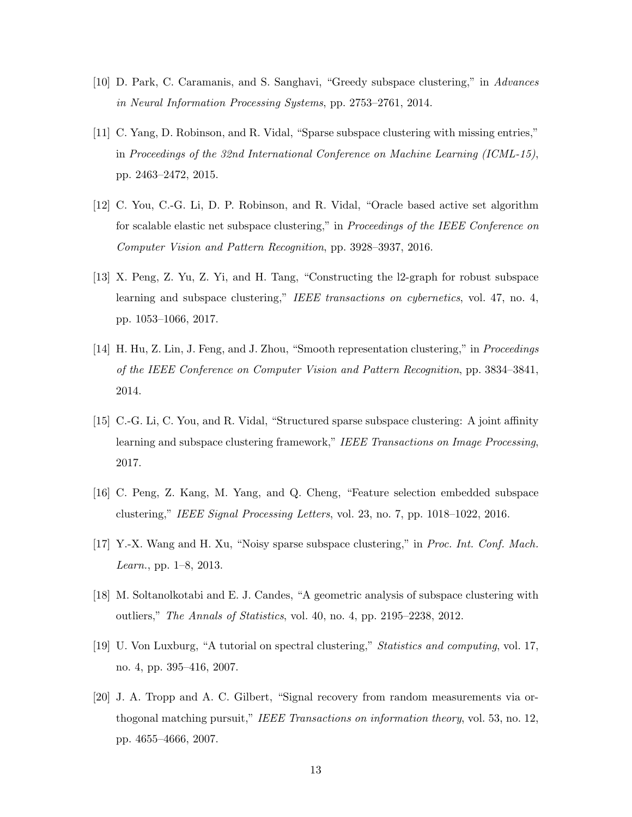- [10] D. Park, C. Caramanis, and S. Sanghavi, "Greedy subspace clustering," in Advances in Neural Information Processing Systems, pp. 2753–2761, 2014.
- [11] C. Yang, D. Robinson, and R. Vidal, "Sparse subspace clustering with missing entries," in Proceedings of the 32nd International Conference on Machine Learning (ICML-15), pp. 2463–2472, 2015.
- [12] C. You, C.-G. Li, D. P. Robinson, and R. Vidal, "Oracle based active set algorithm for scalable elastic net subspace clustering," in Proceedings of the IEEE Conference on Computer Vision and Pattern Recognition, pp. 3928–3937, 2016.
- [13] X. Peng, Z. Yu, Z. Yi, and H. Tang, "Constructing the l2-graph for robust subspace learning and subspace clustering," IEEE transactions on cybernetics, vol. 47, no. 4, pp. 1053–1066, 2017.
- [14] H. Hu, Z. Lin, J. Feng, and J. Zhou, "Smooth representation clustering," in Proceedings of the IEEE Conference on Computer Vision and Pattern Recognition, pp. 3834–3841, 2014.
- [15] C.-G. Li, C. You, and R. Vidal, "Structured sparse subspace clustering: A joint affinity learning and subspace clustering framework," IEEE Transactions on Image Processing, 2017.
- <span id="page-12-0"></span>[16] C. Peng, Z. Kang, M. Yang, and Q. Cheng, "Feature selection embedded subspace clustering," IEEE Signal Processing Letters, vol. 23, no. 7, pp. 1018–1022, 2016.
- <span id="page-12-1"></span>[17] Y.-X. Wang and H. Xu, "Noisy sparse subspace clustering," in Proc. Int. Conf. Mach. Learn., pp. 1–8, 2013.
- <span id="page-12-2"></span>[18] M. Soltanolkotabi and E. J. Candes, "A geometric analysis of subspace clustering with outliers," The Annals of Statistics, vol. 40, no. 4, pp. 2195–2238, 2012.
- <span id="page-12-3"></span>[19] U. Von Luxburg, "A tutorial on spectral clustering," Statistics and computing, vol. 17, no. 4, pp. 395–416, 2007.
- <span id="page-12-4"></span>[20] J. A. Tropp and A. C. Gilbert, "Signal recovery from random measurements via orthogonal matching pursuit," IEEE Transactions on information theory, vol. 53, no. 12, pp. 4655–4666, 2007.